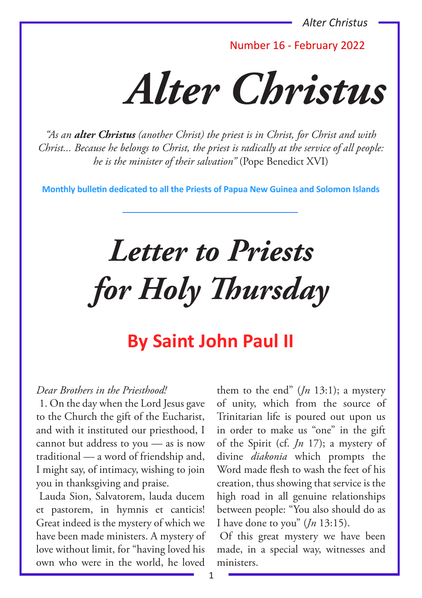Number 16 - February 2022

*Alter Christus*

*"As an alter Christus (another Christ) the priest is in Christ, for Christ and with Christ... Because he belongs to Christ, the priest is radically at the service of all people: he is the minister of their salvation"* (Pope Benedict XVI)

**Monthly bulletin dedicated to all the Priests of Papua New Guinea and Solomon Islands**

*Letter to Priests for Holy Thursday*

# **By Saint John Paul II**

#### *Dear Brothers in the Priesthood!*

1. On the day when the Lord Jesus gave to the Church the gift of the Eucharist, and with it instituted our priesthood, I cannot but address to you — as is now traditional — a word of friendship and, I might say, of intimacy, wishing to join you in thanksgiving and praise.

Lauda Sion, Salvatorem, lauda ducem et pastorem, in hymnis et canticis! Great indeed is the mystery of which we have been made ministers. A mystery of love without limit, for "having loved his own who were in the world, he loved

them to the end"  $(In 13:1);$  a mystery of unity, which from the source of Trinitarian life is poured out upon us in order to make us "one" in the gift of the Spirit (cf. *Jn* 17); a mystery of divine *diakonia* which prompts the Word made flesh to wash the feet of his creation, thus showing that service is the high road in all genuine relationships between people: "You also should do as I have done to you" (*Jn* 13:15).

Of this great mystery we have been made, in a special way, witnesses and ministers.

1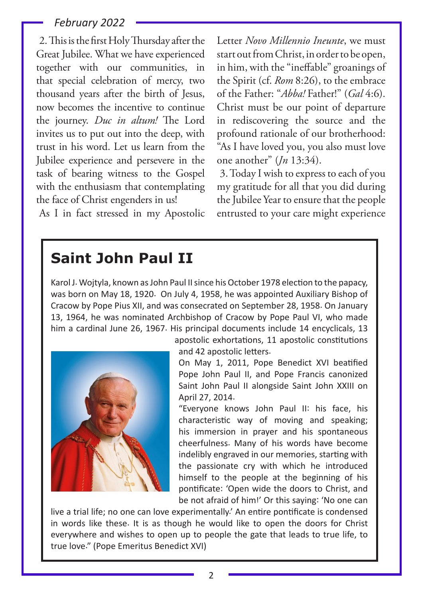2. This is the first Holy Thursday after the Great Jubilee. What we have experienced together with our communities, in that special celebration of mercy, two thousand years after the birth of Jesus, now becomes the incentive to continue the journey. *Duc in altum!* The Lord invites us to put out into the deep, with trust in his word. Let us learn from the Jubilee experience and persevere in the task of bearing witness to the Gospel with the enthusiasm that contemplating the face of Christ engenders in us!

As I in fact stressed in my Apostolic

Letter *Novo Millennio Ineunte*, we must start out from Christ, in order to be open, in him, with the "ineffable" groanings of the Spirit (cf. *Rom* 8:26), to the embrace of the Father: "*Abba!* Father!" (*Gal* 4:6). Christ must be our point of departure in rediscovering the source and the profound rationale of our brotherhood: "As I have loved you, you also must love one another" (*Jn* 13:34).

3. Today I wish to express to each of you my gratitude for all that you did during the Jubilee Year to ensure that the people entrusted to your care might experience

## **Saint John Paul II**

Karol J. Wojtyla, known as John Paul II since his October 1978 election to the papacy, was born on May 18, 1920. On July 4, 1958, he was appointed Auxiliary Bishop of Cracow by Pope Pius XII, and was consecrated on September 28, 1958. On January 13, 1964, he was nominated Archbishop of Cracow by Pope Paul VI, who made him a cardinal June 26, 1967. His principal documents include 14 encyclicals, 13



apostolic exhortations, 11 apostolic constitutions and 42 apostolic letters.

On May 1, 2011, Pope Benedict XVI beatified Pope John Paul II, and Pope Francis canonized Saint John Paul II alongside Saint John XXIII on April 27, 2014.

"Everyone knows John Paul II: his face, his characteristic way of moving and speaking; his immersion in prayer and his spontaneous cheerfulness. Many of his words have become indelibly engraved in our memories, starting with the passionate cry with which he introduced himself to the people at the beginning of his pontificate: 'Open wide the doors to Christ, and be not afraid of him!' Or this saying: 'No one can

live a trial life; no one can love experimentally.' An entire pontificate is condensed in words like these. It is as though he would like to open the doors for Christ everywhere and wishes to open up to people the gate that leads to true life, to true love." (Pope Emeritus Benedict XVI)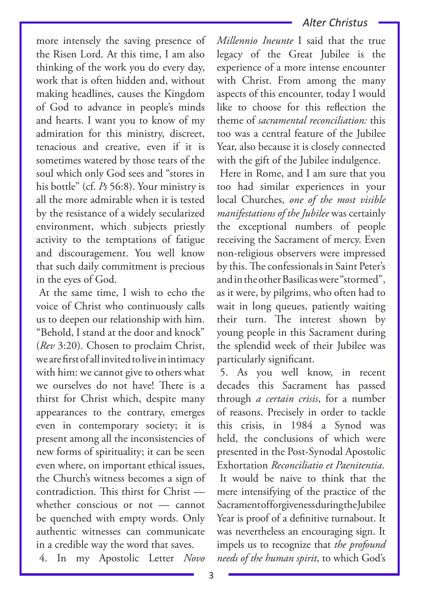more intensely the saving presence of the Risen Lord. At this time, I am also thinking of the work you do every day, work that is often hidden and, without making headlines, causes the Kingdom of God to advance in people's minds and hearts. I want you to know of my admiration for this ministry, discreet, tenacious and creative, even if it is sometimes watered by those tears of the soul which only God sees and "stores in his bottle" (cf. *Ps* 56:8). Your ministry is all the more admirable when it is tested by the resistance of a widely secularized environment, which subjects priestly activity to the temptations of fatigue and discouragement. You well know that such daily commitment is precious in the eyes of God.

At the same time, I wish to echo the voice of Christ who continuously calls us to deepen our relationship with him. "Behold, I stand at the door and knock" (*Rev* 3:20). Chosen to proclaim Christ, we are first of all invited to live in intimacy with him: we cannot give to others what we ourselves do not have! There is a thirst for Christ which, despite many appearances to the contrary, emerges even in contemporary society; it is present among all the inconsistencies of new forms of spirituality; it can be seen even where, on important ethical issues, the Church's witness becomes a sign of contradiction. This thirst for Christ whether conscious or not — cannot be quenched with empty words. Only authentic witnesses can communicate in a credible way the word that saves.

4. In my Apostolic Letter *Novo* 

*Millennio Ineunte* I said that the true legacy of the Great Jubilee is the experience of a more intense encounter with Christ. From among the many aspects of this encounter, today I would like to choose for this reflection the theme of *sacramental reconciliation:* this too was a central feature of the Jubilee Year, also because it is closely connected with the gift of the Jubilee indulgence.

Here in Rome, and I am sure that you too had similar experiences in your local Churches, *one of the most visible manifestations of the Jubilee* was certainly the exceptional numbers of people receiving the Sacrament of mercy. Even non-religious observers were impressed by this. The confessionals in Saint Peter's and in the other Basilicas were "stormed", as it were, by pilgrims, who often had to wait in long queues, patiently waiting their turn. The interest shown by young people in this Sacrament during the splendid week of their Jubilee was particularly significant.

5. As you well know, in recent decades this Sacrament has passed through *a certain crisis*, for a number of reasons. Precisely in order to tackle this crisis, in 1984 a Synod was held, the conclusions of which were presented in the Post-Synodal Apostolic Exhortation *Reconciliatio et Paenitentia*. It would be naive to think that the mere intensifying of the practice of the Sacrament of forgiveness during the Jubilee Year is proof of a definitive turnabout. It was nevertheless an encouraging sign. It impels us to recognize that *the profound needs of the human spirit*, to which God's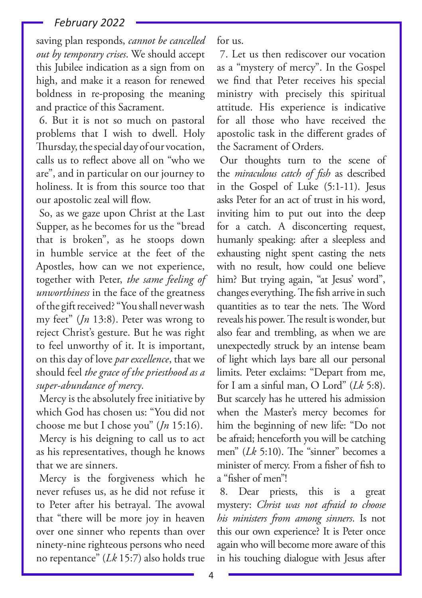saving plan responds, *cannot be cancelled out by temporary crises*. We should accept this Jubilee indication as a sign from on high, and make it a reason for renewed boldness in re-proposing the meaning and practice of this Sacrament.

6. But it is not so much on pastoral problems that I wish to dwell. Holy Thursday, the special day of our vocation, calls us to reflect above all on "who we are", and in particular on our journey to holiness. It is from this source too that our apostolic zeal will flow.

So, as we gaze upon Christ at the Last Supper, as he becomes for us the "bread that is broken", as he stoops down in humble service at the feet of the Apostles, how can we not experience, together with Peter, *the same feeling of unworthiness* in the face of the greatness of the gift received? "You shall never wash my feet" (*Jn* 13:8). Peter was wrong to reject Christ's gesture. But he was right to feel unworthy of it. It is important, on this day of love *par excellence*, that we should feel *the grace of the priesthood as a super-abundance of mercy*.

Mercy is the absolutely free initiative by which God has chosen us: "You did not choose me but I chose you" (*Jn* 15:16).

Mercy is his deigning to call us to act as his representatives, though he knows that we are sinners.

Mercy is the forgiveness which he never refuses us, as he did not refuse it to Peter after his betrayal. The avowal that "there will be more joy in heaven over one sinner who repents than over ninety-nine righteous persons who need no repentance" (*Lk* 15:7) also holds true for us.

7. Let us then rediscover our vocation as a "mystery of mercy". In the Gospel we find that Peter receives his special ministry with precisely this spiritual attitude. His experience is indicative for all those who have received the apostolic task in the different grades of the Sacrament of Orders.

Our thoughts turn to the scene of the *miraculous catch of fish* as described in the Gospel of Luke (5:1-11). Jesus asks Peter for an act of trust in his word, inviting him to put out into the deep for a catch. A disconcerting request, humanly speaking: after a sleepless and exhausting night spent casting the nets with no result, how could one believe him? But trying again, "at Jesus' word", changes everything. The fish arrive in such quantities as to tear the nets. The Word reveals his power. The result is wonder, but also fear and trembling, as when we are unexpectedly struck by an intense beam of light which lays bare all our personal limits. Peter exclaims: "Depart from me, for I am a sinful man, O Lord" (*Lk* 5:8). But scarcely has he uttered his admission when the Master's mercy becomes for him the beginning of new life: "Do not be afraid; henceforth you will be catching men" (*Lk* 5:10). The "sinner" becomes a minister of mercy. From a fisher of fish to a "fisher of men"!

8. Dear priests, this is a great mystery: *Christ was not afraid to choose his ministers from among sinners*. Is not this our own experience? It is Peter once again who will become more aware of this in his touching dialogue with Jesus after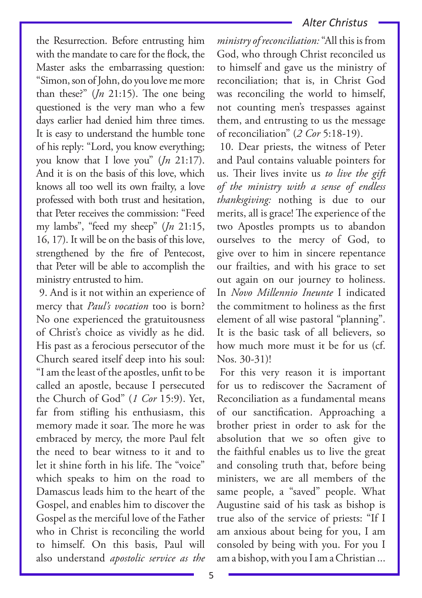the Resurrection. Before entrusting him with the mandate to care for the flock, the Master asks the embarrassing question: "Simon, son of John, do you love me more than these?" (*Jn* 21:15). The one being questioned is the very man who a few days earlier had denied him three times. It is easy to understand the humble tone of his reply: "Lord, you know everything; you know that I love you" (*Jn* 21:17). And it is on the basis of this love, which knows all too well its own frailty, a love professed with both trust and hesitation, that Peter receives the commission: "Feed my lambs", "feed my sheep" (*Jn* 21:15, 16, 17). It will be on the basis of this love, strengthened by the fire of Pentecost, that Peter will be able to accomplish the ministry entrusted to him.

9. And is it not within an experience of mercy that *Paul's vocation* too is born? No one experienced the gratuitousness of Christ's choice as vividly as he did. His past as a ferocious persecutor of the Church seared itself deep into his soul: "I am the least of the apostles, unfit to be called an apostle, because I persecuted the Church of God" (*1 Cor* 15:9). Yet, far from stifling his enthusiasm, this memory made it soar. The more he was embraced by mercy, the more Paul felt the need to bear witness to it and to let it shine forth in his life. The "voice" which speaks to him on the road to Damascus leads him to the heart of the Gospel, and enables him to discover the Gospel as the merciful love of the Father who in Christ is reconciling the world to himself. On this basis, Paul will also understand *apostolic service as the* 

*ministry of reconciliation:* "All this is from God, who through Christ reconciled us to himself and gave us the ministry of reconciliation; that is, in Christ God was reconciling the world to himself, not counting men's trespasses against them, and entrusting to us the message of reconciliation" (*2 Cor* 5:18-19).

10. Dear priests, the witness of Peter and Paul contains valuable pointers for us. Their lives invite us *to live the gift of the ministry with a sense of endless thanksgiving:* nothing is due to our merits, all is grace! The experience of the two Apostles prompts us to abandon ourselves to the mercy of God, to give over to him in sincere repentance our frailties, and with his grace to set out again on our journey to holiness. In *Novo Millennio Ineunte* I indicated the commitment to holiness as the first element of all wise pastoral "planning". It is the basic task of all believers, so how much more must it be for us (cf. Nos. 30-31)!

For this very reason it is important for us to rediscover the Sacrament of Reconciliation as a fundamental means of our sanctification. Approaching a brother priest in order to ask for the absolution that we so often give to the faithful enables us to live the great and consoling truth that, before being ministers, we are all members of the same people, a "saved" people. What Augustine said of his task as bishop is true also of the service of priests: "If I am anxious about being for you, I am consoled by being with you. For you I am a bishop, with you I am a Christian ...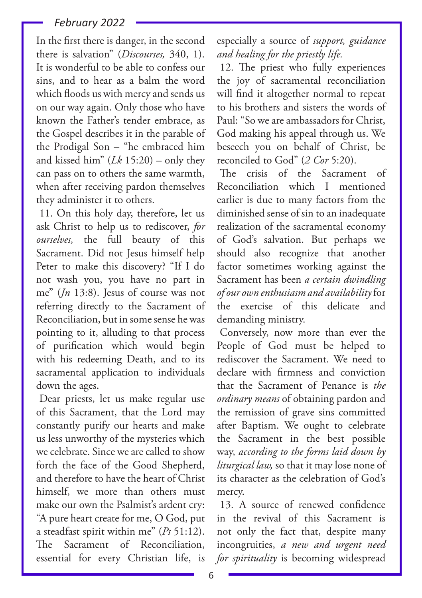In the first there is danger, in the second there is salvation" (*Discourses,* 340, 1). It is wonderful to be able to confess our sins, and to hear as a balm the word which floods us with mercy and sends us on our way again. Only those who have known the Father's tender embrace, as the Gospel describes it in the parable of the Prodigal Son – "he embraced him and kissed him" (*Lk* 15:20) – only they can pass on to others the same warmth, when after receiving pardon themselves they administer it to others.

11. On this holy day, therefore, let us ask Christ to help us to rediscover, *for ourselves,* the full beauty of this Sacrament. Did not Jesus himself help Peter to make this discovery? "If I do not wash you, you have no part in me" (*Jn* 13:8). Jesus of course was not referring directly to the Sacrament of Reconciliation, but in some sense he was pointing to it, alluding to that process of purification which would begin with his redeeming Death, and to its sacramental application to individuals down the ages.

Dear priests, let us make regular use of this Sacrament, that the Lord may constantly purify our hearts and make us less unworthy of the mysteries which we celebrate. Since we are called to show forth the face of the Good Shepherd, and therefore to have the heart of Christ himself, we more than others must make our own the Psalmist's ardent cry: "A pure heart create for me, O God, put a steadfast spirit within me" (*Ps* 51:12). The Sacrament of Reconciliation, essential for every Christian life, is

especially a source of *support, guidance and healing for the priestly life.*

12. The priest who fully experiences the joy of sacramental reconciliation will find it altogether normal to repeat to his brothers and sisters the words of Paul: "So we are ambassadors for Christ, God making his appeal through us. We beseech you on behalf of Christ, be reconciled to God" (*2 Cor* 5:20).

The crisis of the Sacrament of Reconciliation which I mentioned earlier is due to many factors from the diminished sense of sin to an inadequate realization of the sacramental economy of God's salvation. But perhaps we should also recognize that another factor sometimes working against the Sacrament has been *a certain dwindling of our own enthusiasm and availability*for the exercise of this delicate and demanding ministry.

Conversely, now more than ever the People of God must be helped to rediscover the Sacrament. We need to declare with firmness and conviction that the Sacrament of Penance is *the ordinary means* of obtaining pardon and the remission of grave sins committed after Baptism. We ought to celebrate the Sacrament in the best possible way, *according to the forms laid down by liturgical law,* so that it may lose none of its character as the celebration of God's mercy.

13. A source of renewed confidence in the revival of this Sacrament is not only the fact that, despite many incongruities, *a new and urgent need for spirituality* is becoming widespread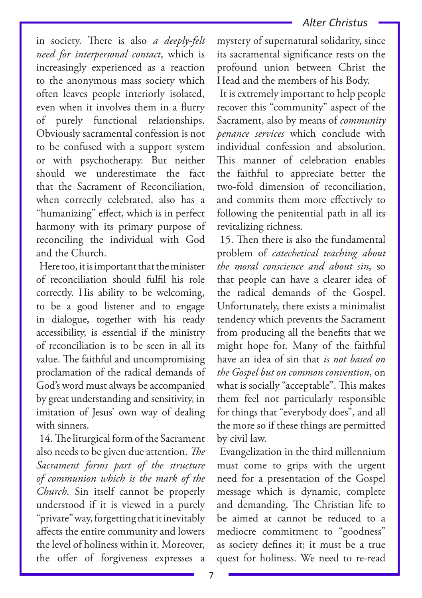in society. There is also *a deeply-felt need for interpersonal contact*, which is increasingly experienced as a reaction to the anonymous mass society which often leaves people interiorly isolated, even when it involves them in a flurry of purely functional relationships. Obviously sacramental confession is not to be confused with a support system or with psychotherapy. But neither should we underestimate the fact that the Sacrament of Reconciliation, when correctly celebrated, also has a "humanizing" effect, which is in perfect harmony with its primary purpose of reconciling the individual with God and the Church.

Here too, it is important that the minister of reconciliation should fulfil his role correctly. His ability to be welcoming, to be a good listener and to engage in dialogue, together with his ready accessibility, is essential if the ministry of reconciliation is to be seen in all its value. The faithful and uncompromising proclamation of the radical demands of God's word must always be accompanied by great understanding and sensitivity, in imitation of Jesus' own way of dealing with sinners.

14. The liturgical form of the Sacrament also needs to be given due attention. *The Sacrament forms part of the structure of communion which is the mark of the Church*. Sin itself cannot be properly understood if it is viewed in a purely "private" way, forgetting that it inevitably affects the entire community and lowers the level of holiness within it. Moreover, the offer of forgiveness expresses a

mystery of supernatural solidarity, since its sacramental significance rests on the profound union between Christ the Head and the members of his Body.

It is extremely important to help people recover this "community" aspect of the Sacrament, also by means of *community penance services* which conclude with individual confession and absolution. This manner of celebration enables the faithful to appreciate better the two-fold dimension of reconciliation, and commits them more effectively to following the penitential path in all its revitalizing richness.

15. Then there is also the fundamental problem of *catechetical teaching about the moral conscience and about sin*, so that people can have a clearer idea of the radical demands of the Gospel. Unfortunately, there exists a minimalist tendency which prevents the Sacrament from producing all the benefits that we might hope for. Many of the faithful have an idea of sin that *is not based on the Gospel but on common convention*, on what is socially "acceptable". This makes them feel not particularly responsible for things that "everybody does", and all the more so if these things are permitted by civil law.

Evangelization in the third millennium must come to grips with the urgent need for a presentation of the Gospel message which is dynamic, complete and demanding. The Christian life to be aimed at cannot be reduced to a mediocre commitment to "goodness" as society defines it; it must be a true quest for holiness. We need to re-read